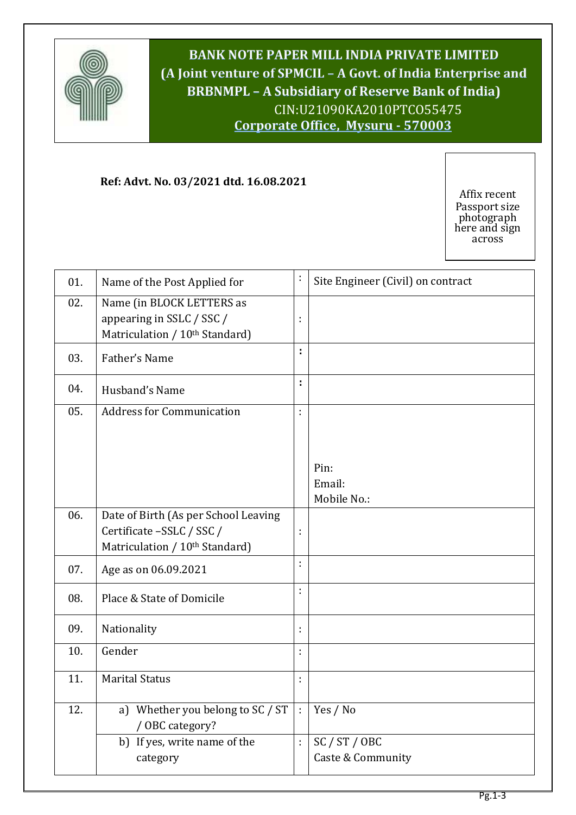

**BANK NOTE PAPER MILL INDIA PRIVATE LIMITED (A Joint venture of SPMCIL – A Govt. of India Enterprise and BRBNMPL – A Subsidiary of Reserve Bank of India)** CIN:U21090KA2010PTCO55475 **Corporate Office, Mysuru - 570003**

**Bangalore 560 029Corporate Office, Bangalore 560 029**

## **Ref: Advt. No. 03/2021 dtd. 16.08.2021**

Affix recent Passport size photograph here and sign across

| 01. | Name of the Post Applied for                                                                                    | t  | Site Engineer (Civil) on contract |
|-----|-----------------------------------------------------------------------------------------------------------------|----|-----------------------------------|
| 02. | Name (in BLOCK LETTERS as<br>appearing in SSLC / SSC /<br>Matriculation / 10 <sup>th</sup> Standard)            | ÷  |                                   |
| 03. | Father's Name                                                                                                   | t  |                                   |
| 04. | Husband's Name                                                                                                  | ÷, |                                   |
| 05. | <b>Address for Communication</b>                                                                                | ł, |                                   |
|     |                                                                                                                 |    |                                   |
|     |                                                                                                                 |    | Pin:                              |
|     |                                                                                                                 |    | Email:                            |
|     |                                                                                                                 |    | Mobile No.:                       |
| 06. | Date of Birth (As per School Leaving<br>Certificate -SSLC / SSC /<br>Matriculation / 10 <sup>th</sup> Standard) | ÷  |                                   |
| 07. | Age as on 06.09.2021                                                                                            | ÷  |                                   |
| 08. | Place & State of Domicile                                                                                       | t, |                                   |
| 09. | Nationality                                                                                                     | ÷  |                                   |
| 10. | Gender                                                                                                          | ł, |                                   |
| 11. | <b>Marital Status</b>                                                                                           | t  |                                   |
| 12. | a) Whether you belong to SC / ST<br>/ OBC category?                                                             | ÷  | Yes / No                          |
|     | b) If yes, write name of the                                                                                    | ł, | SC / ST / OBC                     |
|     | category                                                                                                        |    | Caste & Community                 |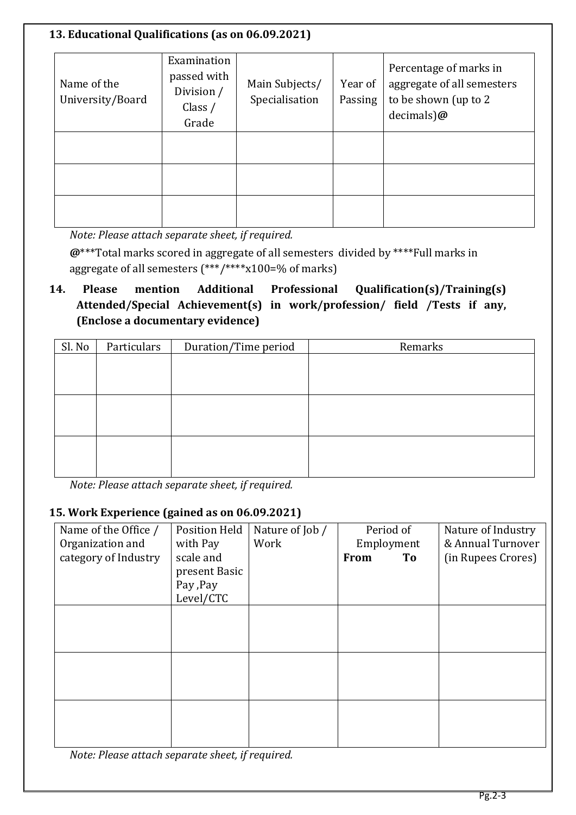### **13. Educational Qualifications (as on 06.09.2021)**

| Name of the<br>University/Board | Examination<br>passed with<br>Division /<br>Class $/$<br>Grade | Main Subjects/<br>Specialisation | Year of<br>Passing | Percentage of marks in<br>aggregate of all semesters<br>to be shown (up to 2<br>$decimals)$ @ |
|---------------------------------|----------------------------------------------------------------|----------------------------------|--------------------|-----------------------------------------------------------------------------------------------|
|                                 |                                                                |                                  |                    |                                                                                               |
|                                 |                                                                |                                  |                    |                                                                                               |

*Note: Please attach separate sheet, if required.*

**@**\*\*\*Total marks scored in aggregate of all semesters divided by \*\*\*\*Full marks in aggregate of all semesters (\*\*\*/\*\*\*\*x100=% of marks)

# **14. Please mention Additional Professional Qualification(s)/Training(s) Attended/Special Achievement(s) in work/profession/ field /Tests if any, (Enclose a documentary evidence)**

| Particulars<br>Duration/Time period |  | Remarks |  |  |
|-------------------------------------|--|---------|--|--|
|                                     |  |         |  |  |
|                                     |  |         |  |  |
|                                     |  |         |  |  |
|                                     |  |         |  |  |
|                                     |  |         |  |  |
|                                     |  |         |  |  |
|                                     |  |         |  |  |
|                                     |  |         |  |  |

*Note: Please attach separate sheet, if required.*

### **15. Work Experience (gained as on 06.09.2021)**

| Name of the Office /<br>Organization and | <b>Position Held</b><br>with Pay | Nature of Job /<br>Work | Period of<br>Employment | Nature of Industry<br>& Annual Turnover |
|------------------------------------------|----------------------------------|-------------------------|-------------------------|-----------------------------------------|
| category of Industry                     | scale and                        |                         | <b>From</b><br>To       | (in Rupees Crores)                      |
|                                          | present Basic                    |                         |                         |                                         |
|                                          | Pay , Pay                        |                         |                         |                                         |
|                                          | Level/CTC                        |                         |                         |                                         |
|                                          |                                  |                         |                         |                                         |
|                                          |                                  |                         |                         |                                         |
|                                          |                                  |                         |                         |                                         |
|                                          |                                  |                         |                         |                                         |
|                                          |                                  |                         |                         |                                         |
|                                          |                                  |                         |                         |                                         |
|                                          |                                  |                         |                         |                                         |
|                                          |                                  |                         |                         |                                         |
|                                          |                                  |                         |                         |                                         |
|                                          |                                  |                         |                         |                                         |

*Note: Please attach separate sheet, if required.*